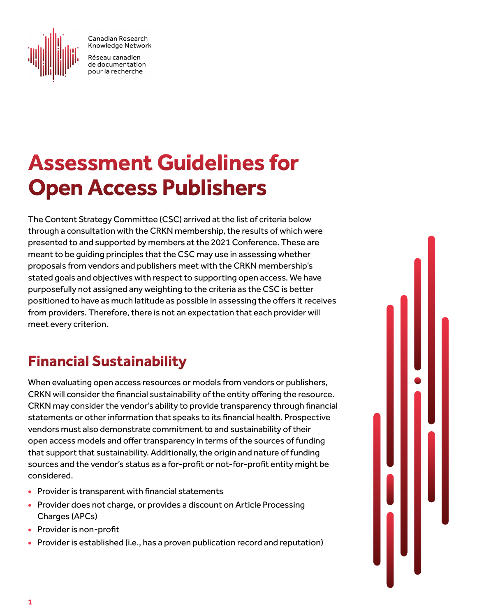

Canadian Research Knowledge Network

Réseau canadien de documentation pour la recherche

## **Assessment Guidelines for Open Access Publishers**

The Content Strategy Committee (CSC) arrived at the list of criteria below through a consultation with the CRKN membership, the results of which were presented to and supported by members at the 2021 Conference. These are meant to be guiding principles that the CSC may use in assessing whether proposals from vendors and publishers meet with the CRKN membership's stated goals and objectives with respect to supporting open access. We have purposefully not assigned any weighting to the criteria as the CSC is better positioned to have as much latitude as possible in assessing the offers it receives from providers. Therefore, there is not an expectation that each provider will meet every criterion.

## **Financial Sustainability**

When evaluating open access resources or models from vendors or publishers, CRKN will consider the financial sustainability of the entity offering the resource. CRKN may consider the vendor's ability to provide transparency through financial statements or other information that speaks to its financial health. Prospective vendors must also demonstrate commitment to and sustainability of their open access models and offer transparency in terms of the sources of funding that support that sustainability. Additionally, the origin and nature of funding sources and the vendor's status as a for-profit or not-for-profit entity might be considered.

- Provider is transparent with financial statements
- Provider does not charge, or provides a discount on Article Processing Charges (APCs)
- Provider is non-profit
- Provider is established (i.e., has a proven publication record and reputation)